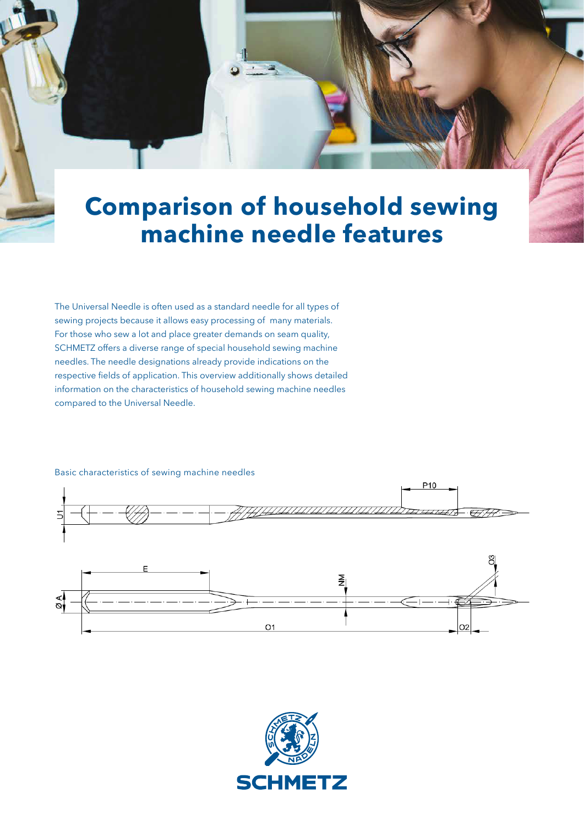## **Comparison of household sewing machine needle features**

The Universal Needle is often used as a standard needle for all types of sewing projects because it allows easy processing of many materials. For those who sew a lot and place greater demands on seam quality, SCHMETZ offers a diverse range of special household sewing machine needles. The needle designations already provide indications on the respective fields of application. This overview additionally shows detailed information on the characteristics of household sewing machine needles compared to the Universal Needle.



## Basic characteristics of sewing machine needles

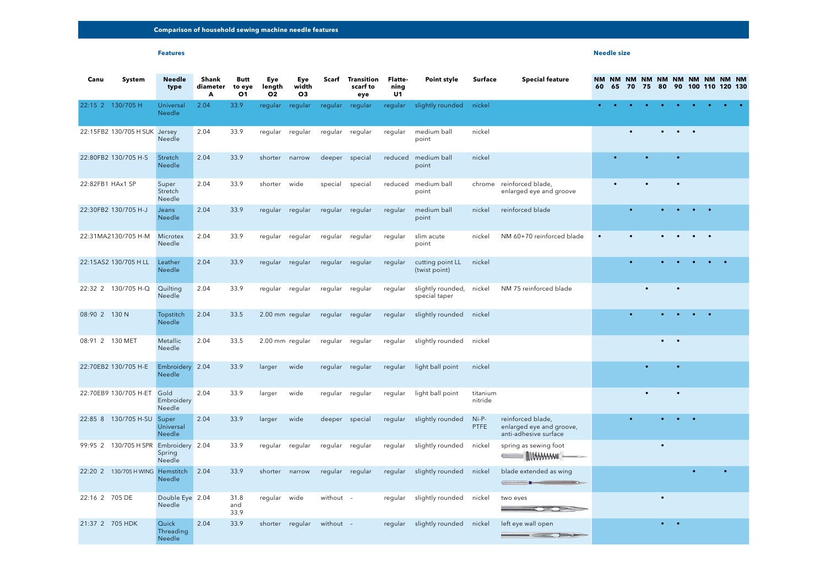## **Features**

| Canu             | <b>System</b>                    | <b>Needle</b><br>type               | <b>Shank</b><br>diameter<br>A | <b>Butt</b><br>to eye<br><b>O1</b> | Eye<br>length<br>O <sub>2</sub> | Eye<br>width<br><b>O3</b> |                 | <b>Scarf</b> Transition<br>scarf to<br>eye | <b>Flatte-</b><br>ning<br>U <sub>1</sub> | <b>Point style</b>                        | Surface                | <b>Special feature</b>                                                 | 60        | 65 | 70        | 75        | NM NM NM NM NM NM NM NM NM NM<br>80 | 90                                  |                          |           | 100 110 120 130 |
|------------------|----------------------------------|-------------------------------------|-------------------------------|------------------------------------|---------------------------------|---------------------------|-----------------|--------------------------------------------|------------------------------------------|-------------------------------------------|------------------------|------------------------------------------------------------------------|-----------|----|-----------|-----------|-------------------------------------|-------------------------------------|--------------------------|-----------|-----------------|
|                  | 22:15 2 130/705 H                | Universal<br>Needle                 | 2.04                          | 33.9                               | regular                         | regular                   | regular regular |                                            | regular                                  | slightly rounded nickel                   |                        |                                                                        |           |    |           |           |                                     |                                     |                          |           |                 |
|                  | 22:15FB2 130/705 H SUK Jersey    | Needle                              | 2.04                          | 33.9                               | regular                         | regular                   | regular         | regular                                    | regular                                  | medium ball<br>point                      | nickel                 |                                                                        |           |    |           |           |                                     | $\bullet\qquad\bullet\qquad\bullet$ |                          |           |                 |
|                  | 22:80FB2 130/705 H-S             | Stretch<br>Needle                   | 2.04                          | 33.9                               | shorter                         | narrow                    | deeper          | special                                    | reduced                                  | medium ball<br>point                      | nickel                 |                                                                        |           |    |           | $\bullet$ |                                     | $\bullet$                           |                          |           |                 |
| 22:82FB1 HAx1 SP |                                  | Super<br>Stretch<br>Needle          | 2.04                          | 33.9                               | shorter                         | wide                      | special         | special                                    | reduced                                  | medium ball<br>point                      |                        | chrome reinforced blade,<br>enlarged eye and groove                    |           |    |           | $\bullet$ |                                     | $\bullet$                           |                          |           |                 |
|                  | 22:30FB2 130/705 H-J             | Jeans<br>Needle                     | 2.04                          | 33.9                               | regular regular                 |                           | regular regular |                                            | regular                                  | medium ball<br>point                      | nickel                 | reinforced blade                                                       |           |    |           |           |                                     |                                     |                          | $\bullet$ |                 |
|                  | 22:31MA2130/705 H-M              | Microtex<br>Needle                  | 2.04                          | 33.9                               | regular                         | regular                   | regular         | regular                                    | regular                                  | slim acute<br>point                       | nickel                 | NM 60+70 reinforced blade                                              | $\bullet$ |    | $\bullet$ |           |                                     | $\bullet$                           | $\bullet \qquad \bullet$ |           |                 |
|                  | 22:15AS2 130/705 H LL            | Leather<br>Needle                   | 2.04                          | 33.9                               | regular regular                 |                           | regular regular |                                            | regular                                  | cutting point LL<br>(twist point)         | nickel                 |                                                                        |           |    |           |           |                                     |                                     |                          |           |                 |
|                  | 22:32 2 130/705 H-Q              | Quilting<br>Needle                  | 2.04                          | 33.9                               | regular regular                 |                           | regular regular |                                            | regular                                  | slightly rounded, nickel<br>special taper |                        | NM 75 reinforced blade                                                 |           |    |           | $\bullet$ |                                     | $\bullet$                           |                          |           |                 |
| 08:90 2 130 N    |                                  | Topstitch<br>Needle                 | 2.04                          | 33.5                               | 2.00 mm regular                 |                           | regular regular |                                            | regular                                  | slightly rounded                          | nickel                 |                                                                        |           |    |           |           |                                     | $\bullet$                           | $\bullet$ . $\bullet$    |           |                 |
| 08:91 2 130 MET  |                                  | Metallic<br>Needle                  | 2.04                          | 33.5                               | 2.00 mm regular                 |                           | regular regular |                                            | regular                                  | slightly rounded                          | nickel                 |                                                                        |           |    |           |           | $\bullet \qquad \bullet$            |                                     |                          |           |                 |
|                  | 22:70EB2 130/705 H-E             | Embroidery 2.04<br>Needle           |                               | 33.9                               | larger                          | wide                      | regular regular |                                            | regular                                  | light ball point                          | nickel                 |                                                                        |           |    |           | $\bullet$ |                                     | $\bullet$                           |                          |           |                 |
|                  | 22:70EB9 130/705 H-ET            | Gold<br>Embroidery<br>Needle        | 2.04                          | 33.9                               | larger                          | wide                      | regular regular |                                            | regular                                  | light ball point                          | titanium<br>nitride    |                                                                        |           |    |           | $\bullet$ |                                     | $\bullet$                           |                          |           |                 |
|                  | 22:85 8 130/705 H-SU             | Super<br>Universal<br>Needle        | 2.04                          | 33.9                               | larger                          | wide                      | deeper special  |                                            | regular                                  | slightly rounded                          | $Ni-P-$<br><b>PTFE</b> | reinforced blade,<br>enlarged eye and groove,<br>anti-adhesive surface |           |    |           |           |                                     | $\bullet$ $\bullet$ $\bullet$       |                          |           |                 |
|                  | 99:95 2 130/705 H SPR            | Embroidery 2.04<br>Spring<br>Needle |                               | 33.9                               | regular regular                 |                           | regular regular |                                            | regular                                  | slightly rounded                          | nickel                 | spring as sewing foot<br>$\blacksquare$ MWWW                           |           |    |           |           | $\bullet$                           |                                     |                          |           |                 |
|                  | 22:20 2 130/705 H WING Hemstitch | Needle                              | 2.04                          | 33.9                               | shorter narrow                  |                           | regular regular |                                            |                                          | regular slightly rounded                  | nickel                 | blade extended as wing<br>the company of the company of the company    |           |    |           |           |                                     |                                     |                          |           |                 |
| 22:16 2 705 DE   |                                  | Double Eye 2.04<br>Needle           |                               | 31.8<br>and<br>33.9                | regular wide                    |                           | without -       |                                            | regular                                  | slightly rounded                          | nickel                 | two eyes<br>$\overline{a}$ and $\overline{b}$ and $\overline{b}$       |           |    |           |           | $\bullet$                           |                                     |                          |           |                 |
| 21:37 2 705 HDK  |                                  | Quick<br>Threading<br>Needle        | 2.04                          | 33.9                               | shorter regular                 |                           | without -       |                                            |                                          | regular slightly rounded                  | nickel                 | left eye wall open                                                     |           |    |           |           | $\bullet \qquad \bullet$            |                                     |                          |           |                 |